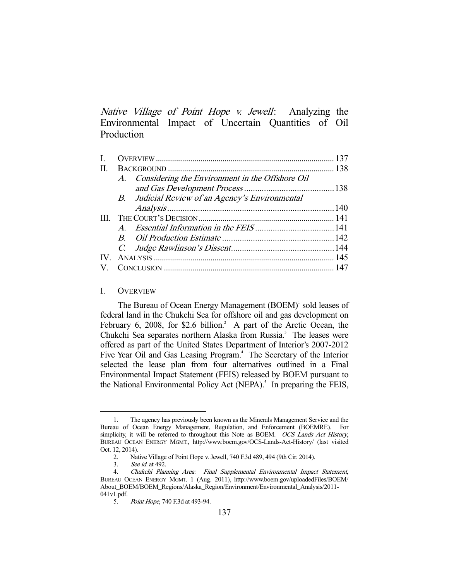Native Village of Point Hope v. Jewell: Analyzing the Environmental Impact of Uncertain Quantities of Oil Production

| IV. |  |                                                                                                       |
|-----|--|-------------------------------------------------------------------------------------------------------|
|     |  |                                                                                                       |
|     |  | A. Considering the Environment in the Offshore Oil<br>B. Judicial Review of an Agency's Environmental |

#### I. OVERVIEW

The Bureau of Ocean Energy Management (BOEM)<sup>1</sup> sold leases of federal land in the Chukchi Sea for offshore oil and gas development on February 6, 2008, for \$2.6 billion.<sup>2</sup> A part of the Arctic Ocean, the Chukchi Sea separates northern Alaska from Russia.<sup>3</sup> The leases were offered as part of the United States Department of Interior's 2007-2012 Five Year Oil and Gas Leasing Program.<sup>4</sup> The Secretary of the Interior selected the lease plan from four alternatives outlined in a Final Environmental Impact Statement (FEIS) released by BOEM pursuant to the National Environmental Policy Act (NEPA).<sup>5</sup> In preparing the FEIS,

 <sup>1.</sup> The agency has previously been known as the Minerals Management Service and the Bureau of Ocean Energy Management, Regulation, and Enforcement (BOEMRE). For simplicity, it will be referred to throughout this Note as BOEM. OCS Lands Act History, BUREAU OCEAN ENERGY MGMT., http://www.boem.gov/OCS-Lands-Act-History/ (last visited Oct. 12, 2014).

 <sup>2.</sup> Native Village of Point Hope v. Jewell, 740 F.3d 489, 494 (9th Cir. 2014).

 <sup>3.</sup> See id. at 492.

 <sup>4.</sup> Chukchi Planning Area: Final Supplemental Environmental Impact Statement, BUREAU OCEAN ENERGY MGMT. 1 (Aug. 2011), http://www.boem.gov/uploadedFiles/BOEM/ About\_BOEM/BOEM\_Regions/Alaska\_Region/Environment/Environmental\_Analysis/2011-  $041v1.pdf.$ <br>5.

Point Hope, 740 F.3d at 493-94.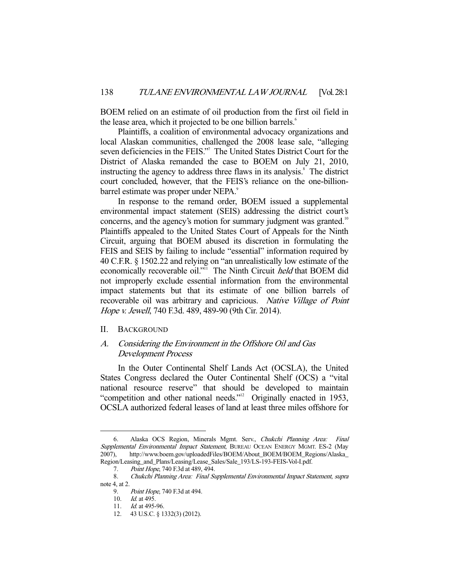BOEM relied on an estimate of oil production from the first oil field in the lease area, which it projected to be one billion barrels.<sup>6</sup>

 Plaintiffs, a coalition of environmental advocacy organizations and local Alaskan communities, challenged the 2008 lease sale, "alleging seven deficiencies in the FEIS."<sup>7</sup> The United States District Court for the District of Alaska remanded the case to BOEM on July 21, 2010, instructing the agency to address three flaws in its analysis.<sup>8</sup> The district court concluded, however, that the FEIS's reliance on the one-billionbarrel estimate was proper under NEPA.<sup>9</sup>

 In response to the remand order, BOEM issued a supplemental environmental impact statement (SEIS) addressing the district court's concerns, and the agency's motion for summary judgment was granted.<sup>10</sup> Plaintiffs appealed to the United States Court of Appeals for the Ninth Circuit, arguing that BOEM abused its discretion in formulating the FEIS and SEIS by failing to include "essential" information required by 40 C.F.R. § 1502.22 and relying on "an unrealistically low estimate of the economically recoverable oil."<sup>11</sup> The Ninth Circuit *held* that BOEM did not improperly exclude essential information from the environmental impact statements but that its estimate of one billion barrels of recoverable oil was arbitrary and capricious. Native Village of Point Hope v. Jewell, 740 F.3d. 489, 489-90 (9th Cir. 2014).

### II. BACKGROUND

# A. Considering the Environment in the Offshore Oil and Gas Development Process

 In the Outer Continental Shelf Lands Act (OCSLA), the United States Congress declared the Outer Continental Shelf (OCS) a "vital national resource reserve" that should be developed to maintain "competition and other national needs."12 Originally enacted in 1953, OCSLA authorized federal leases of land at least three miles offshore for

 <sup>6.</sup> Alaska OCS Region, Minerals Mgmt. Serv., Chukchi Planning Area: Final Supplemental Environmental Impact Statement, BUREAU OCEAN ENERGY MGMT. ES-2 (May 2007), http://www.boem.gov/uploadedFiles/BOEM/About\_BOEM/BOEM\_Regions/Alaska\_ Region/Leasing\_and\_Plans/Leasing/Lease\_Sales/Sale\_193/LS-193-FEIS-Vol-I.pdf.

 <sup>7.</sup> Point Hope, 740 F.3d at 489, 494.

 <sup>8.</sup> Chukchi Planning Area: Final Supplemental Environmental Impact Statement, supra note 4, at 2.

 <sup>9.</sup> Point Hope, 740 F.3d at 494.

<sup>10.</sup> *Id.* at 495.

<sup>11.</sup> *Id.* at 495-96.

 <sup>12. 43</sup> U.S.C. § 1332(3) (2012).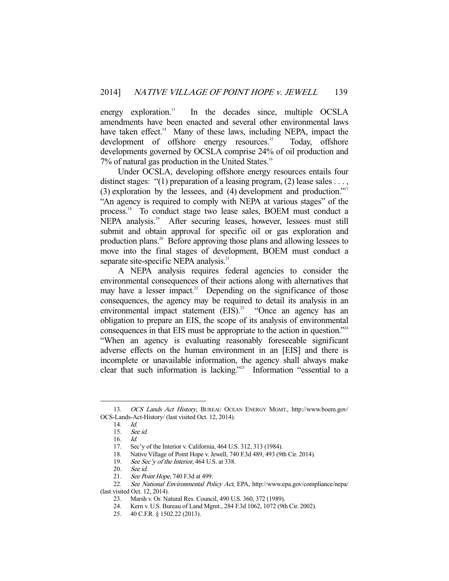energy exploration.<sup>13</sup> In the decades since, multiple OCSLA amendments have been enacted and several other environmental laws have taken effect.<sup>14</sup> Many of these laws, including NEPA, impact the development of offshore energy resources.<sup>15</sup> Today, offshore developments governed by OCSLA comprise 24% of oil production and 7% of natural gas production in the United States.<sup>16</sup>

 Under OCSLA, developing offshore energy resources entails four distinct stages: "(1) preparation of a leasing program, (2) lease sales ..., (3) exploration by the lessees, and (4) development and production."<sup>17</sup> "An agency is required to comply with NEPA at various stages" of the process.<sup>18</sup> To conduct stage two lease sales, BOEM must conduct a NEPA analysis.<sup>19</sup> After securing leases, however, lessees must still submit and obtain approval for specific oil or gas exploration and production plans.20 Before approving those plans and allowing lessees to move into the final stages of development, BOEM must conduct a separate site-specific NEPA analysis.<sup>21</sup>

 A NEPA analysis requires federal agencies to consider the environmental consequences of their actions along with alternatives that may have a lesser impact.<sup>22</sup> Depending on the significance of those consequences, the agency may be required to detail its analysis in an environmental impact statement (EIS).<sup>23</sup> "Once an agency has an obligation to prepare an EIS, the scope of its analysis of environmental consequences in that EIS must be appropriate to the action in question."<sup>24</sup> "When an agency is evaluating reasonably foreseeable significant adverse effects on the human environment in an [EIS] and there is incomplete or unavailable information, the agency shall always make clear that such information is lacking."<sup>25</sup> Information "essential to a

 <sup>13.</sup> OCS Lands Act History, BUREAU OCEAN ENERGY MGMT., http://www.boem.gov/ OCS-Lands-Act-History/ (last visited Oct. 12, 2014).

 <sup>14.</sup> Id.

 <sup>15.</sup> See id.

 <sup>16.</sup> Id.

 <sup>17.</sup> Sec'y of the Interior v. California, 464 U.S. 312, 313 (1984).

 <sup>18.</sup> Native Village of Point Hope v. Jewell, 740 F.3d 489, 493 (9th Cir. 2014).

<sup>19.</sup> See Sec'y of the Interior, 464 U.S. at 338.

 <sup>20.</sup> See id.

<sup>21.</sup> See Point Hope, 740 F.3d at 499.

<sup>22.</sup> See National Environmental Policy Act, EPA, http://www.epa.gov/compliance/nepa/ (last visited Oct. 12, 2014).

 <sup>23.</sup> Marsh v. Or. Natural Res. Council, 490 U.S. 360, 372 (1989).

 <sup>24.</sup> Kern v. U.S. Bureau of Land Mgmt., 284 F.3d 1062, 1072 (9th Cir. 2002).

 <sup>25. 40</sup> C.F.R. § 1502.22 (2013).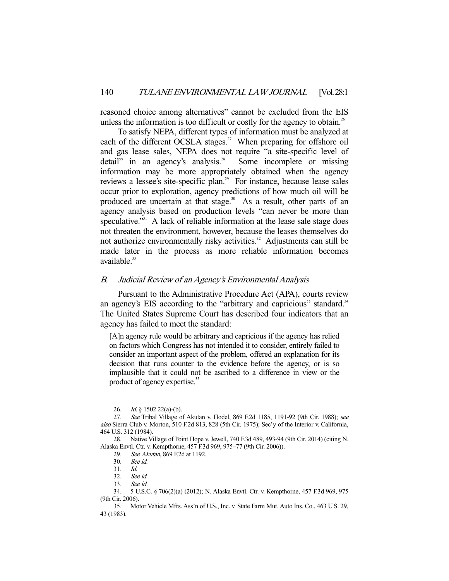reasoned choice among alternatives" cannot be excluded from the EIS unless the information is too difficult or costly for the agency to obtain.<sup>26</sup>

 To satisfy NEPA, different types of information must be analyzed at each of the different OCSLA stages.<sup>27</sup> When preparing for offshore oil and gas lease sales, NEPA does not require "a site-specific level of detail" in an agency's analysis. $\frac{1}{2}$  Some incomplete or missing information may be more appropriately obtained when the agency reviews a lessee's site-specific plan.<sup>29</sup> For instance, because lease sales occur prior to exploration, agency predictions of how much oil will be produced are uncertain at that stage.<sup>30</sup> As a result, other parts of an agency analysis based on production levels "can never be more than speculative."<sup>31</sup> A lack of reliable information at the lease sale stage does not threaten the environment, however, because the leases themselves do not authorize environmentally risky activities.<sup>32</sup> Adjustments can still be made later in the process as more reliable information becomes  $a$ vailable. $33$ 

### B. Judicial Review of an Agency's Environmental Analysis

 Pursuant to the Administrative Procedure Act (APA), courts review an agency's EIS according to the "arbitrary and capricious" standard.<sup>34</sup> The United States Supreme Court has described four indicators that an agency has failed to meet the standard:

[A]n agency rule would be arbitrary and capricious if the agency has relied on factors which Congress has not intended it to consider, entirely failed to consider an important aspect of the problem, offered an explanation for its decision that runs counter to the evidence before the agency, or is so implausible that it could not be ascribed to a difference in view or the product of agency expertise.<sup>35</sup>

 <sup>26.</sup> Id. § 1502.22(a)-(b).

 <sup>27.</sup> See Tribal Village of Akutan v. Hodel, 869 F.2d 1185, 1191-92 (9th Cir. 1988); see also Sierra Club v. Morton, 510 F.2d 813, 828 (5th Cir. 1975); Sec'y of the Interior v. California, 464 U.S. 312 (1984).

 <sup>28.</sup> Native Village of Point Hope v. Jewell, 740 F.3d 489, 493-94 (9th Cir. 2014) (citing N. Alaska Envtl. Ctr. v. Kempthorne, 457 F.3d 969, 975–77 (9th Cir. 2006)).

 <sup>29.</sup> See Akutan, 869 F.2d at 1192.

 <sup>30.</sup> See id.

 <sup>31.</sup> Id.

 <sup>32.</sup> See id.

 <sup>33.</sup> See id.

 <sup>34. 5</sup> U.S.C. § 706(2)(a) (2012); N. Alaska Envtl. Ctr. v. Kempthorne, 457 F.3d 969, 975 (9th Cir. 2006).

 <sup>35.</sup> Motor Vehicle Mfrs. Ass'n of U.S., Inc. v. State Farm Mut. Auto Ins. Co., 463 U.S. 29, 43 (1983).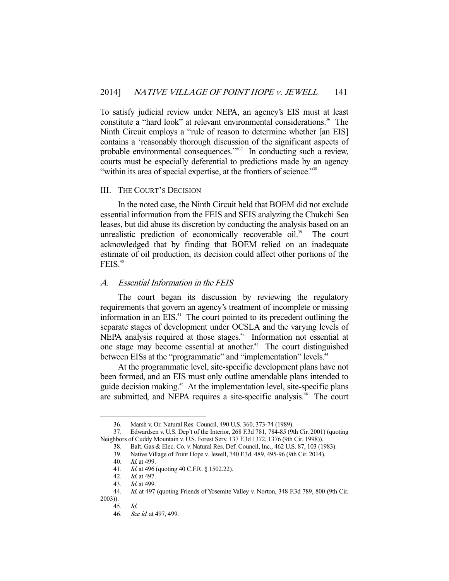To satisfy judicial review under NEPA, an agency's EIS must at least constitute a "hard look" at relevant environmental considerations.<sup>36</sup> The Ninth Circuit employs a "rule of reason to determine whether [an EIS] contains a 'reasonably thorough discussion of the significant aspects of probable environmental consequences."<sup>377</sup> In conducting such a review, courts must be especially deferential to predictions made by an agency "within its area of special expertise, at the frontiers of science."<sup>38</sup>

### III. THE COURT'S DECISION

 In the noted case, the Ninth Circuit held that BOEM did not exclude essential information from the FEIS and SEIS analyzing the Chukchi Sea leases, but did abuse its discretion by conducting the analysis based on an unrealistic prediction of economically recoverable oil.<sup>39</sup> The court acknowledged that by finding that BOEM relied on an inadequate estimate of oil production, its decision could affect other portions of the  $FEIS.<sup>40</sup>$ 

### A. Essential Information in the FEIS

 The court began its discussion by reviewing the regulatory requirements that govern an agency's treatment of incomplete or missing information in an EIS. $41$  The court pointed to its precedent outlining the separate stages of development under OCSLA and the varying levels of NEPA analysis required at those stages.<sup>42</sup> Information not essential at one stage may become essential at another.<sup>43</sup> The court distinguished between EISs at the "programmatic" and "implementation" levels.<sup>44</sup>

 At the programmatic level, site-specific development plans have not been formed, and an EIS must only outline amendable plans intended to guide decision making.<sup>45</sup> At the implementation level, site-specific plans are submitted, and NEPA requires a site-specific analysis.<sup>46</sup> The court

 <sup>36.</sup> Marsh v. Or. Natural Res. Council, 490 U.S. 360, 373-74 (1989).

 <sup>37.</sup> Edwardsen v. U.S. Dep't of the Interior, 268 F.3d 781, 784-85 (9th Cir. 2001) (quoting Neighbors of Cuddy Mountain v. U.S. Forest Serv. 137 F.3d 1372, 1376 (9th Cir. 1998)).

 <sup>38.</sup> Balt. Gas & Elec. Co. v. Natural Res. Def. Council, Inc., 462 U.S. 87, 103 (1983).

 <sup>39.</sup> Native Village of Point Hope v. Jewell, 740 F.3d. 489, 495-96 (9th Cir. 2014).

 <sup>40.</sup> Id. at 499.

<sup>41.</sup> *Id.* at 496 (quoting 40 C.F.R. § 1502.22).<br>42. *Id.* at 497.

*Id.* at 497.

 <sup>43.</sup> Id. at 499.

 <sup>44.</sup> Id. at 497 (quoting Friends of Yosemite Valley v. Norton, 348 F.3d 789, 800 (9th Cir.

<sup>2003)).</sup> 

 <sup>45.</sup> Id.

 <sup>46.</sup> See id. at 497, 499.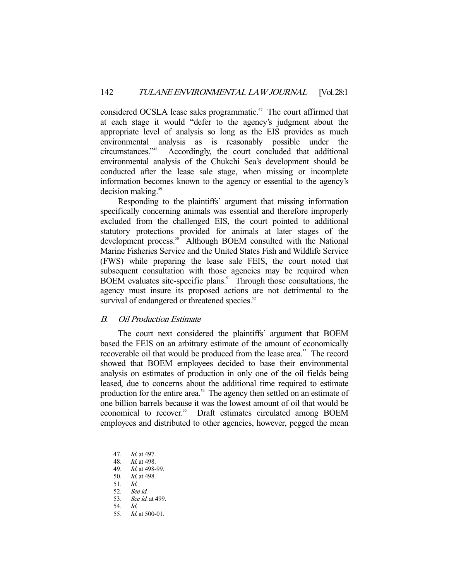considered OCSLA lease sales programmatic.<sup>47</sup> The court affirmed that at each stage it would "defer to the agency's judgment about the appropriate level of analysis so long as the EIS provides as much environmental analysis as is reasonably possible under the circumstances."48 Accordingly, the court concluded that additional environmental analysis of the Chukchi Sea's development should be conducted after the lease sale stage, when missing or incomplete information becomes known to the agency or essential to the agency's decision making.49

 Responding to the plaintiffs' argument that missing information specifically concerning animals was essential and therefore improperly excluded from the challenged EIS, the court pointed to additional statutory protections provided for animals at later stages of the development process.<sup>50</sup> Although BOEM consulted with the National Marine Fisheries Service and the United States Fish and Wildlife Service (FWS) while preparing the lease sale FEIS, the court noted that subsequent consultation with those agencies may be required when BOEM evaluates site-specific plans.<sup>51</sup> Through those consultations, the agency must insure its proposed actions are not detrimental to the survival of endangered or threatened species.<sup>52</sup>

## B. Oil Production Estimate

 The court next considered the plaintiffs' argument that BOEM based the FEIS on an arbitrary estimate of the amount of economically recoverable oil that would be produced from the lease area.<sup>53</sup> The record showed that BOEM employees decided to base their environmental analysis on estimates of production in only one of the oil fields being leased, due to concerns about the additional time required to estimate production for the entire area.<sup>54</sup> The agency then settled on an estimate of one billion barrels because it was the lowest amount of oil that would be economical to recover.<sup>55</sup> Draft estimates circulated among BOEM employees and distributed to other agencies, however, pegged the mean

 <sup>47.</sup> Id. at 497.

<sup>48.</sup> *Id.* at 498.<br>49. *Id.* at 498-

Id. at 498-99.

 <sup>50.</sup> Id. at 498.

 <sup>51.</sup> Id.

 <sup>52.</sup> See id.

 <sup>53.</sup> See id. at 499.

 <sup>54.</sup> Id.

 <sup>55.</sup> Id. at 500-01.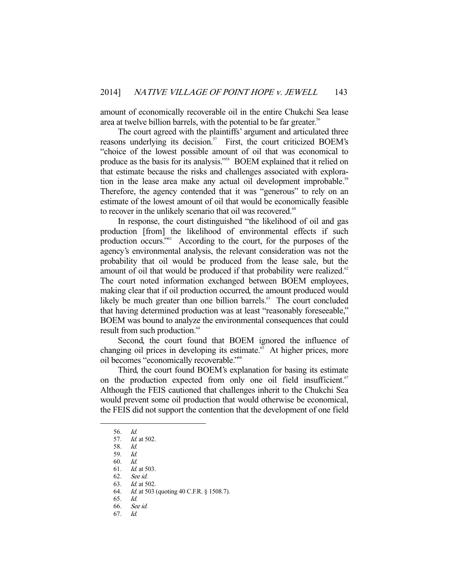amount of economically recoverable oil in the entire Chukchi Sea lease area at twelve billion barrels, with the potential to be far greater.<sup>56</sup>

 The court agreed with the plaintiffs' argument and articulated three reasons underlying its decision.<sup>57</sup> First, the court criticized BOEM's "choice of the lowest possible amount of oil that was economical to produce as the basis for its analysis."58 BOEM explained that it relied on that estimate because the risks and challenges associated with exploration in the lease area make any actual oil development improbable.<sup>59</sup> Therefore, the agency contended that it was "generous" to rely on an estimate of the lowest amount of oil that would be economically feasible to recover in the unlikely scenario that oil was recovered.<sup>60</sup>

 In response, the court distinguished "the likelihood of oil and gas production [from] the likelihood of environmental effects if such production occurs."61 According to the court, for the purposes of the agency's environmental analysis, the relevant consideration was not the probability that oil would be produced from the lease sale, but the amount of oil that would be produced if that probability were realized.<sup>62</sup> The court noted information exchanged between BOEM employees, making clear that if oil production occurred, the amount produced would likely be much greater than one billion barrels.<sup>63</sup> The court concluded that having determined production was at least "reasonably foreseeable," BOEM was bound to analyze the environmental consequences that could result from such production.<sup>64</sup>

 Second, the court found that BOEM ignored the influence of changing oil prices in developing its estimate.<sup>65</sup> At higher prices, more oil becomes "economically recoverable."66

 Third, the court found BOEM's explanation for basing its estimate on the production expected from only one oil field insufficient.<sup>67</sup> Although the FEIS cautioned that challenges inherit to the Chukchi Sea would prevent some oil production that would otherwise be economical, the FEIS did not support the contention that the development of one field

 <sup>56.</sup> Id.

<sup>57.</sup> *Id.* at 502. 58. Id.

 <sup>59.</sup> Id.

 <sup>60.</sup> Id.

 <sup>61.</sup> Id. at 503.

 <sup>62.</sup> See id.

 <sup>63.</sup> Id. at 502.

<sup>64.</sup> *Id.* at 503 (quoting 40 C.F.R. § 1508.7).

 <sup>65.</sup> Id.

 <sup>66.</sup> See id.

 <sup>67.</sup> Id.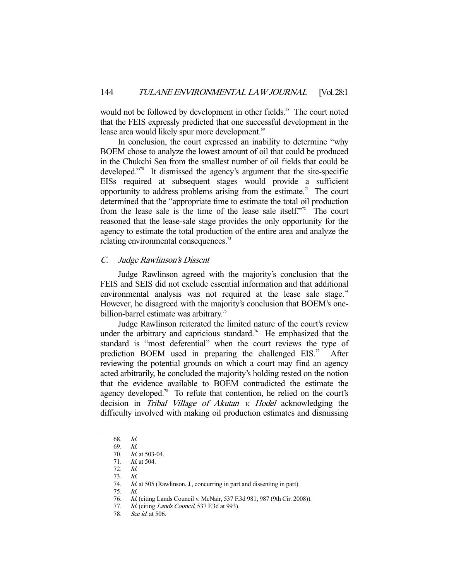would not be followed by development in other fields.<sup>68</sup> The court noted that the FEIS expressly predicted that one successful development in the lease area would likely spur more development.<sup>69</sup>

 In conclusion, the court expressed an inability to determine "why BOEM chose to analyze the lowest amount of oil that could be produced in the Chukchi Sea from the smallest number of oil fields that could be developed."70 It dismissed the agency's argument that the site-specific EISs required at subsequent stages would provide a sufficient opportunity to address problems arising from the estimate.<sup>71</sup> The court determined that the "appropriate time to estimate the total oil production from the lease sale is the time of the lease sale itself."72 The court reasoned that the lease-sale stage provides the only opportunity for the agency to estimate the total production of the entire area and analyze the relating environmental consequences.<sup>73</sup>

### C. Judge Rawlinson's Dissent

 Judge Rawlinson agreed with the majority's conclusion that the FEIS and SEIS did not exclude essential information and that additional environmental analysis was not required at the lease sale stage.<sup>74</sup> However, he disagreed with the majority's conclusion that BOEM's onebillion-barrel estimate was arbitrary.<sup>75</sup>

 Judge Rawlinson reiterated the limited nature of the court's review under the arbitrary and capricious standard.<sup>76</sup> He emphasized that the standard is "most deferential" when the court reviews the type of prediction BOEM used in preparing the challenged  $EIS$ .<sup>77</sup> After reviewing the potential grounds on which a court may find an agency acted arbitrarily, he concluded the majority's holding rested on the notion that the evidence available to BOEM contradicted the estimate the agency developed.<sup>78</sup> To refute that contention, he relied on the court's decision in Tribal Village of Akutan v. Hodel acknowledging the difficulty involved with making oil production estimates and dismissing

 <sup>68.</sup> Id.

 <sup>69.</sup> Id.

 <sup>70.</sup> Id. at 503-04.

 <sup>71.</sup> Id. at 504.

 <sup>72.</sup> Id.

 <sup>73.</sup> Id.

<sup>74.</sup> Id. at 505 (Rawlinson, J., concurring in part and dissenting in part).

 <sup>75.</sup> Id.

 <sup>76.</sup> Id. (citing Lands Council v. McNair, 537 F.3d 981, 987 (9th Cir. 2008)).

<sup>77.</sup> Id. (citing Lands Council, 537 F.3d at 993).

<sup>78.</sup> See id. at 506.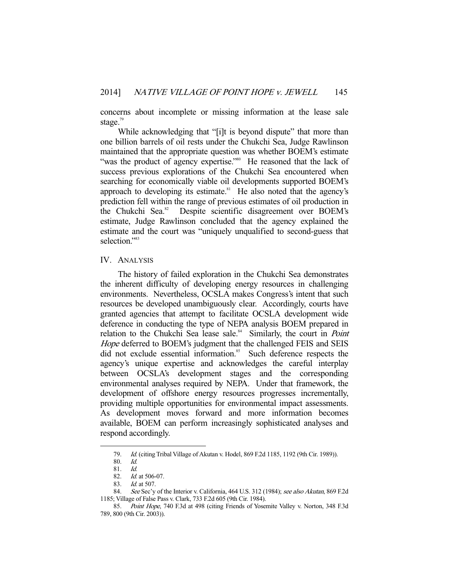concerns about incomplete or missing information at the lease sale stage.<sup>79</sup>

While acknowledging that "[i]t is beyond dispute" that more than one billion barrels of oil rests under the Chukchi Sea, Judge Rawlinson maintained that the appropriate question was whether BOEM's estimate "was the product of agency expertise."<sup>80</sup> He reasoned that the lack of success previous explorations of the Chukchi Sea encountered when searching for economically viable oil developments supported BOEM's approach to developing its estimate.<sup>81</sup> He also noted that the agency's prediction fell within the range of previous estimates of oil production in the Chukchi Sea.<sup>82</sup> Despite scientific disagreement over BOEM's estimate, Judge Rawlinson concluded that the agency explained the estimate and the court was "uniquely unqualified to second-guess that selection."<sup>83</sup>

### IV. ANALYSIS

 The history of failed exploration in the Chukchi Sea demonstrates the inherent difficulty of developing energy resources in challenging environments. Nevertheless, OCSLA makes Congress's intent that such resources be developed unambiguously clear. Accordingly, courts have granted agencies that attempt to facilitate OCSLA development wide deference in conducting the type of NEPA analysis BOEM prepared in relation to the Chukchi Sea lease sale.<sup>84</sup> Similarly, the court in *Point* Hope deferred to BOEM's judgment that the challenged FEIS and SEIS did not exclude essential information.<sup>85</sup> Such deference respects the agency's unique expertise and acknowledges the careful interplay between OCSLA's development stages and the corresponding environmental analyses required by NEPA. Under that framework, the development of offshore energy resources progresses incrementally, providing multiple opportunities for environmental impact assessments. As development moves forward and more information becomes available, BOEM can perform increasingly sophisticated analyses and respond accordingly.

 <sup>79.</sup> Id. (citing Tribal Village of Akutan v. Hodel, 869 F.2d 1185, 1192 (9th Cir. 1989)).

 <sup>80.</sup> Id.

<sup>81.</sup> *Id.*<br>82. *Id.* 

Id. at 506-07.

<sup>83.</sup> *Id.* at 507.

<sup>84.</sup> See Sec'y of the Interior v. California, 464 U.S. 312 (1984); see also Akutan, 869 F.2d 1185; Village of False Pass v. Clark, 733 F.2d 605 (9th Cir. 1984).

<sup>85.</sup> Point Hope, 740 F.3d at 498 (citing Friends of Yosemite Valley v. Norton, 348 F.3d 789, 800 (9th Cir. 2003)).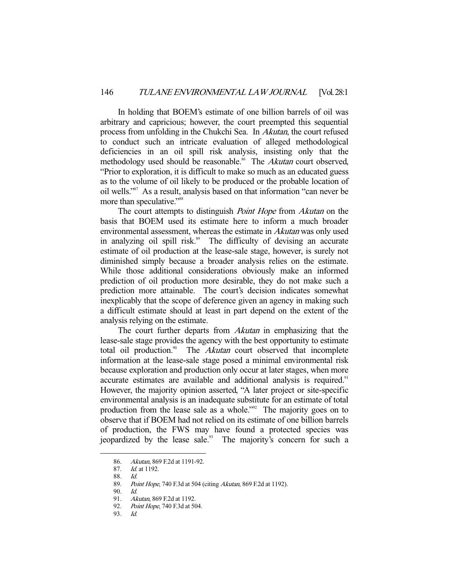In holding that BOEM's estimate of one billion barrels of oil was arbitrary and capricious; however, the court preempted this sequential process from unfolding in the Chukchi Sea. In Akutan, the court refused to conduct such an intricate evaluation of alleged methodological deficiencies in an oil spill risk analysis, insisting only that the methodology used should be reasonable.<sup>86</sup> The Akutan court observed, "Prior to exploration, it is difficult to make so much as an educated guess as to the volume of oil likely to be produced or the probable location of oil wells."87 As a result, analysis based on that information "can never be more than speculative."<sup>88</sup>

The court attempts to distinguish *Point Hope* from *Akutan* on the basis that BOEM used its estimate here to inform a much broader environmental assessment, whereas the estimate in Akutan was only used in analyzing oil spill risk.<sup>89</sup> The difficulty of devising an accurate estimate of oil production at the lease-sale stage, however, is surely not diminished simply because a broader analysis relies on the estimate. While those additional considerations obviously make an informed prediction of oil production more desirable, they do not make such a prediction more attainable. The court's decision indicates somewhat inexplicably that the scope of deference given an agency in making such a difficult estimate should at least in part depend on the extent of the analysis relying on the estimate.

The court further departs from *Akutan* in emphasizing that the lease-sale stage provides the agency with the best opportunity to estimate total oil production.<sup>90</sup> The *Akutan* court observed that incomplete information at the lease-sale stage posed a minimal environmental risk because exploration and production only occur at later stages, when more accurate estimates are available and additional analysis is required.<sup>91</sup> However, the majority opinion asserted, "A later project or site-specific environmental analysis is an inadequate substitute for an estimate of total production from the lease sale as a whole."<sup>92</sup> The majority goes on to observe that if BOEM had not relied on its estimate of one billion barrels of production, the FWS may have found a protected species was jeopardized by the lease sale.<sup>93</sup> The majority's concern for such a

 <sup>86.</sup> Akutan, 869 F.2d at 1191-92.

 <sup>87.</sup> Id. at 1192.

 <sup>88.</sup> Id.

<sup>89.</sup> Point Hope, 740 F.3d at 504 (citing Akutan, 869 F.2d at 1192).

 <sup>90.</sup> Id.

<sup>91.</sup> Akutan, 869 F.2d at 1192.<br>92. Point Hope, 740 F.3d at 5

Point Hope, 740 F.3d at 504.

 <sup>93.</sup> Id.